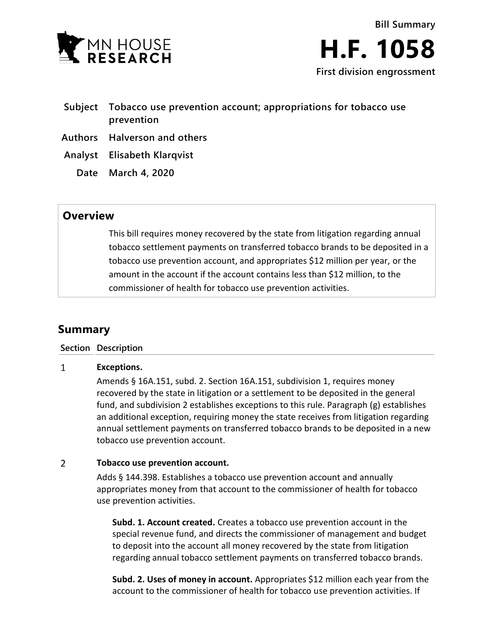

- **Subject Tobacco use prevention account; appropriations for tobacco use prevention**
- **Authors Halverson and others**
- **Analyst Elisabeth Klarqvist**
	- **Date March 4, 2020**

## **Overview**

This bill requires money recovered by the state from litigation regarding annual tobacco settlement payments on transferred tobacco brands to be deposited in a tobacco use prevention account, and appropriates \$12 million per year, or the amount in the account if the account contains less than \$12 million, to the commissioner of health for tobacco use prevention activities.

# **Summary**

### **Section Description**

#### $\mathbf{1}$ **Exceptions.**

Amends § 16A.151, subd. 2. Section 16A.151, subdivision 1, requires money recovered by the state in litigation or a settlement to be deposited in the general fund, and subdivision 2 establishes exceptions to this rule. Paragraph (g) establishes an additional exception, requiring money the state receives from litigation regarding annual settlement payments on transferred tobacco brands to be deposited in a new tobacco use prevention account.

#### $\overline{2}$ **Tobacco use prevention account.**

Adds § 144.398. Establishes a tobacco use prevention account and annually appropriates money from that account to the commissioner of health for tobacco use prevention activities.

**Subd. 1. Account created.** Creates a tobacco use prevention account in the special revenue fund, and directs the commissioner of management and budget to deposit into the account all money recovered by the state from litigation regarding annual tobacco settlement payments on transferred tobacco brands.

**Subd. 2. Uses of money in account.** Appropriates \$12 million each year from the account to the commissioner of health for tobacco use prevention activities. If